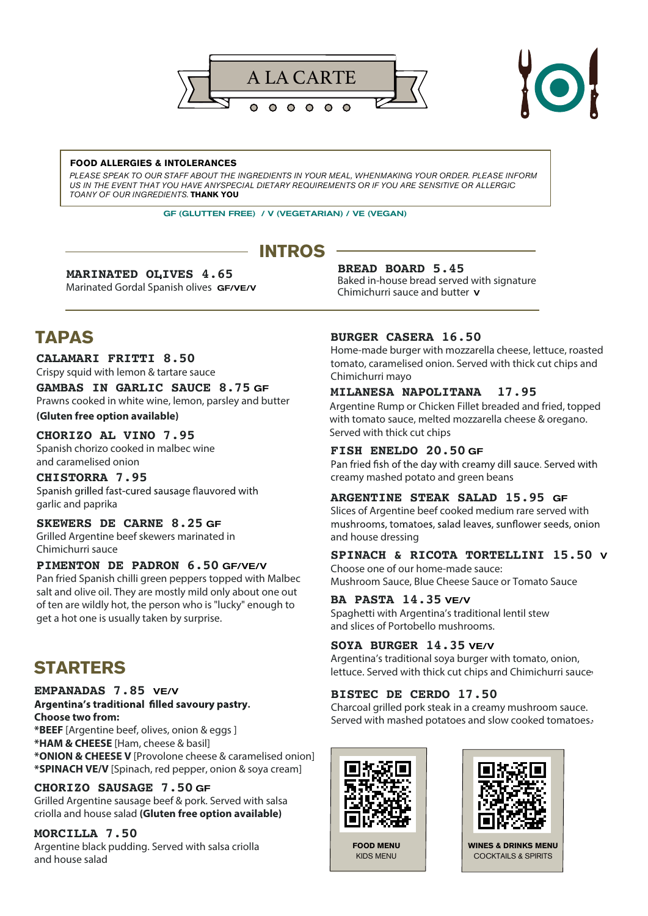



#### **FOOD ALLERGIES & INTOLERANCES**

*PLEASE SPEAK TO OUR STAFF ABOUT THE INGREDIENTS IN YOUR MEAL, WHENMAKING YOUR ORDER. PLEASE INFORM US IN THE EVENT THAT YOU HAVE ANYSPECIAL DIETARY REQUIREMENTS OR IF YOU ARE SENSITIVE OR ALLERGIC TOANY OF OUR INGREDIENTS.* **THANK YOU**

GF (GLUTTEN FREE) / V (VEGETARIAN) / VE (VEGAN)

# **INTROS**

#### **MARINATED OLIVES 4.65**

Marinated Gordal Spanish olives GF/VE/V

## **BREAD BOARD 5.45**

Baked in-house bread served with signature Chimichurri sauce and butter V

# **TAPAS**

#### **CALAMARI FRITTI 8.50**

Crispy squid with lemon & tartare sauce

**GAMBAS IN GARLIC SAUCE 8.75** GF Prawns cooked in white wine, lemon, parsley and butter

**(Gluten free option available)** 

#### **CHORIZO AL VINO 7.95**

Spanish chorizo cooked in malbec wine and caramelised onion

## **CHISTORRA 7.95**

Spanish grilled fast-cured sausage flauvored with garlic and paprika

## **SKEWERS DE CARNE 8.25** GF

Grilled Argentine beef skewers marinated in Chimichurri sauce

#### **PIMENTON DE PADRON 6.50** GF/VE/V

Pan fried Spanish chilli green peppers topped with Malbec salt and olive oil. They are mostly mild only about one out of ten are wildly hot, the person who is "lucky" enough to get a hot one is usually taken by surprise.

# **STARTERS**

#### **EMPANADAS 7.85** VE/V

#### Argentina's traditional filled savoury pastry. **Choose two from:**

**\*BEEF** [Argentine beef, olives, onion & eggs ] **\*HAM & CHEESE** [Ham, cheese & basil] **\*ONION & CHEESE V** [Provolone cheese & caramelised onion] **\*SPINACH VE/V** [Spinach, red pepper, onion & soya cream]

#### **CHORIZO SAUSAGE 7.50** GF

Grilled Argentine sausage beef & pork. Served with salsa criolla and house salad **(Gluten free option available)**

#### **MORCILLA 7.50**

Argentine black pudding. Served with salsa criolla and house salad

#### **BURGER CASERA 16.50**

Home-made burger with mozzarella cheese, lettuce, roasted tomato, caramelised onion. Served with thick cut chips and Chimichurri mayo

### **MILANESA NAPOLITANA 17.95**

Argentine Rump or Chicken Fillet breaded and fried, topped with tomato sauce, melted mozzarella cheese & oregano. Served with thick cut chips

#### **FISH ENELDO 20.50** GF

Pan fried fish of the day with creamy dill sauce. Served with creamy mashed potato and green beans

## **ARGENTINE STEAK SALAD 15.95** GF

Slices of Argentine beef cooked medium rare served with mushrooms, tomatoes, salad leaves, sunflower seeds, onion and house dressing

# **SPINACH & RICOTA TORTELLINI 15.50** <sup>V</sup>

Choose one of our home-made sauce: Mushroom Sauce, Blue Cheese Sauce or Tomato Sauce

#### **BA PASTA 14.35** VE/V

Spaghetti with Argentina's traditional lentil stew and slices of Portobello mushrooms.

#### **SOYA BURGER 14.35** VE/V

lettuce. Served with thick cut chips and Chimichurri sauce-Argentina's traditional soya burger with tomato, onion,

## **BISTEC DE CERDO 17.50**

Served with mashed potatoes and slow cooked tomatoes. Charcoal grilled pork steak in a creamy mushroom sauce.



**FOOD MENU** KIDS MENU



**WINES & DRINKS MENU** COCKTAILS & SPIRITS